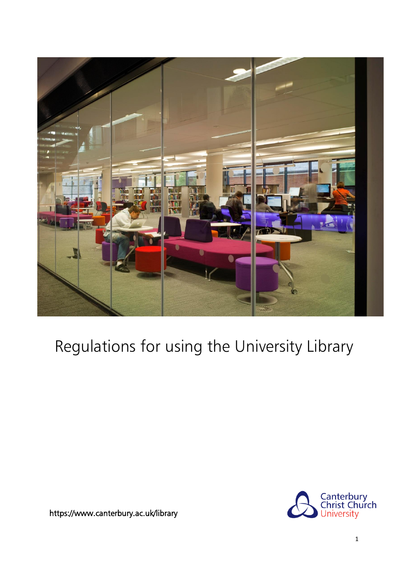

# Regulations for using the University Library



<https://www.canterbury.ac.uk/library>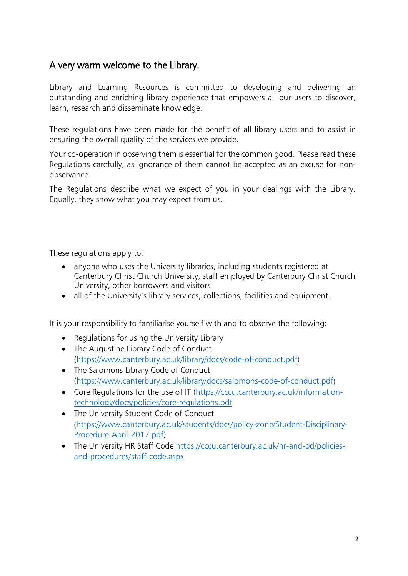#### A very warm welcome to the Library.

Library and Learning Resources is committed to developing and delivering an outstanding and enriching library experience that empowers all our users to discover, learn, research and disseminate knowledge.

These regulations have been made for the benefit of all library users and to assist in ensuring the overall quality of the services we provide.

Your co-operation in observing them is essential for the common good. Please read these Regulations carefully, as ignorance of them cannot be accepted as an excuse for nonobservance.

The Regulations describe what we expect of you in your dealings with the Library. Equally, they show what you may expect from us.

These regulations apply to:

- anyone who uses the University libraries, including students registered at Canterbury Christ Church University, staff employed by Canterbury Christ Church University, other borrowers and visitors
- all of the University's library services, collections, facilities and equipment.

It is your responsibility to familiarise yourself with and to observe the following:

- Regulations for using the University Library
- The Augustine Library Code of Conduct [\(https://www.canterbury.ac.uk/library/docs/code-of-conduct.pdf\)](https://www.canterbury.ac.uk/library/docs/code-of-conduct.pdf)
- The Salomons Library Code of Conduct [\(https://www.canterbury.ac.uk/library/docs/salomons-code-of-conduct.pdf](https://www.canterbury.ac.uk/library/docs/salomons-code-of-conduct.pdf))
- [Core Regulations for the use of IT](https://cccu.canterbury.ac.uk/information-technology/docs/policies/core-regulations.pdf) [\(https://cccu.canterbury.ac.uk/information](https://cccu.canterbury.ac.uk/information-technology/docs/policies/core-regulations.pdf)[technology/docs/policies/core-regulations.pdf](https://cccu.canterbury.ac.uk/information-technology/docs/policies/core-regulations.pdf)
- The University [Student](http://www.canterbury.ac.uk/support/student-support-services/students/student-procedures.asp) Code of Conduct ([https://www.canterbury.ac.uk/students/docs/policy-zone/Student-Disciplinary-](https://www.canterbury.ac.uk/students/docs/policy-zone/Student-Disciplinary-Procedure-April-2017.pdf)[Procedure-April-2017.pdf\)](https://www.canterbury.ac.uk/students/docs/policy-zone/Student-Disciplinary-Procedure-April-2017.pdf)
- The University HR Staff Code [https://cccu.canterbury.ac.uk/hr-and-od/policies](https://cccu.canterbury.ac.uk/hr-and-od/policies-and-procedures/staff-code.aspx)[and-procedures/staff-code.aspx](https://cccu.canterbury.ac.uk/hr-and-od/policies-and-procedures/staff-code.aspx)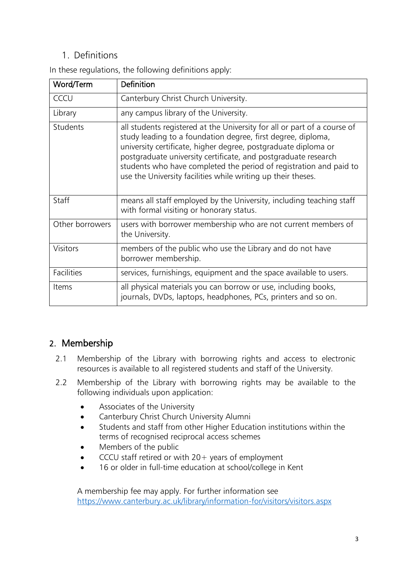## 1. Definitions

| Word/Term         | <b>Definition</b>                                                                                                                                                                                                                                                                                                                                                                                                  |
|-------------------|--------------------------------------------------------------------------------------------------------------------------------------------------------------------------------------------------------------------------------------------------------------------------------------------------------------------------------------------------------------------------------------------------------------------|
| CCCU              | Canterbury Christ Church University.                                                                                                                                                                                                                                                                                                                                                                               |
| Library           | any campus library of the University.                                                                                                                                                                                                                                                                                                                                                                              |
| Students          | all students registered at the University for all or part of a course of<br>study leading to a foundation degree, first degree, diploma,<br>university certificate, higher degree, postgraduate diploma or<br>postgraduate university certificate, and postgraduate research<br>students who have completed the period of registration and paid to<br>use the University facilities while writing up their theses. |
| Staff             | means all staff employed by the University, including teaching staff<br>with formal visiting or honorary status.                                                                                                                                                                                                                                                                                                   |
| Other borrowers   | users with borrower membership who are not current members of<br>the University.                                                                                                                                                                                                                                                                                                                                   |
| <b>Visitors</b>   | members of the public who use the Library and do not have<br>borrower membership.                                                                                                                                                                                                                                                                                                                                  |
| <b>Facilities</b> | services, furnishings, equipment and the space available to users.                                                                                                                                                                                                                                                                                                                                                 |
| Items             | all physical materials you can borrow or use, including books,<br>journals, DVDs, laptops, headphones, PCs, printers and so on.                                                                                                                                                                                                                                                                                    |

In these regulations, the following definitions apply:

# 2. Membership

- 2.1 Membership of the Library with borrowing rights and access to electronic resources is available to all registered students and staff of the University.
- 2.2 Membership of the Library with borrowing rights may be available to the following individuals upon application:
	- Associates of the University
	- Canterbury Christ Church University Alumni
	- Students and staff from other Higher Education institutions within the terms of recognised reciprocal access schemes
	- Members of the public
	- CCCU staff retired or with  $20+$  years of employment
	- 16 or older in full-time education at school/college in Kent

A membership fee may apply. For further information see <https://www.canterbury.ac.uk/library/information-for/visitors/visitors.aspx>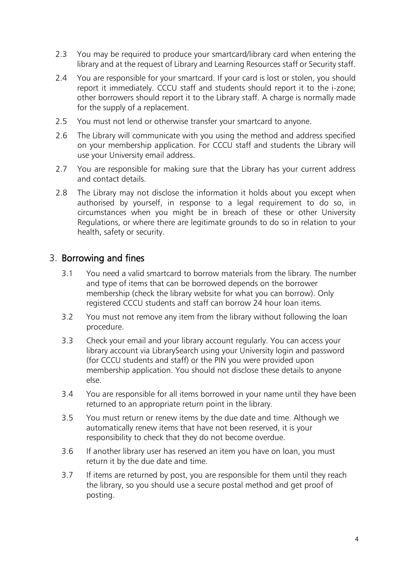- 2.3 You may be required to produce your smartcard/library card when entering the library and at the request of Library and Learning Resources staff or Security staff.
- 2.4 You are responsible for your smartcard. If your card is lost or stolen, you should report it immediately. CCCU staff and students should report it to the i-zone; other borrowers should report it to the Library staff. A charge is normally made for the supply of a replacement.
- 2.5 You must not lend or otherwise transfer your smartcard to anyone.
- 2.6 The Library will communicate with you using the method and address specified on your membership application. For CCCU staff and students the Library will use your University email address.
- 2.7 You are responsible for making sure that the Library has your current address and contact details.
- 2.8 The Library may not disclose the information it holds about you except when authorised by yourself, in response to a legal requirement to do so, in circumstances when you might be in breach of these or other University Regulations, or where there are legitimate grounds to do so in relation to your health, safety or security.

#### 3. Borrowing and fines

- 3.1 You need a valid smartcard to borrow materials from the library. The number and type of items that can be borrowed depends on the borrower membership [\(check the](https://www.kent.ac.uk/library/templeman/borrow/index.html) [library website for what you can borrow\)](https://www.kent.ac.uk/library/templeman/borrow/index.html). Only registered CCCU students and staff can borrow 24 hour loan items.
- 3.2 You must not remove any item from the library without following the loan procedure.
- 3.3 Check your email and your library account regularly. You can access your library account via LibrarySearch using your University login and password (for CCCU students and staff) or the PIN you were provided upon membership application. You should not disclose these details to anyone else.
- 3.4 You are responsible for all items borrowed in your name until they have been returned to an appropriate return point in the library.
- 3.5 You must return or renew items by the due date and time. Although we automatically renew items that have not been reserved, it is your responsibility to check that they do not become overdue.
- 3.6 If another library user has reserved an item you have on loan, you must return it by the due date and time.
- 3.7 If items are returned by post, you are responsible for them until they reach the library, so you should use a secure postal method and get proof of posting.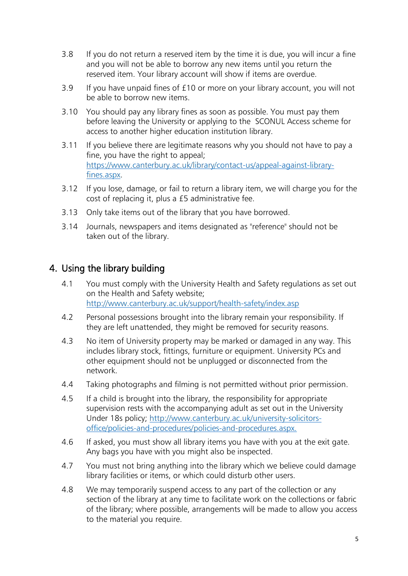- 3.8 If you do not return a reserved item by the time it is due, you will incur a fine and you will not be able to borrow any new items until you return the reserved item. Your library account will show if items are overdue.
- 3.9 If you have unpaid fines of £10 or more on your library account, you will not be able to borrow new items.
- 3.10 You should pay any library fines as soon as possible. You must pay them before leaving the University or applying to the SCONUL Access scheme for access to another higher education institution library.
- 3.11 If you believe there are legitimate reasons why you should not have to pay a fine, you have the right to appeal; [https://www.canterbury.ac.uk/library/contact-us/appeal-against-library](https://www.canterbury.ac.uk/library/contact-us/appeal-against-library-fines.aspx)[fines.aspx.](https://www.canterbury.ac.uk/library/contact-us/appeal-against-library-fines.aspx)
- 3.12 If you lose, damage, or fail to return a library item, we will charge you for the cost of replacing it, plus a £5 administrative fee.
- 3.13 Only take items out of the library that you have borrowed.
- 3.14 Journals, newspapers and items designated as "reference" should not be taken out of the library.

### 4. Using the library building

- 4.1 You must comply with the University Health and Safety regulations as set out on the Health and Safety website; <http://www.canterbury.ac.uk/support/health-safety/index.asp>
- 4.2 Personal possessions brought into the library remain your responsibility. If they are left unattended, they might be removed for security reasons.
- 4.3 No item of University property may be marked or damaged in any way. This includes library stock, fittings, furniture or equipment. University PCs and other equipment should not be unplugged or disconnected from the network.
- 4.4 Taking photographs and filming is not permitted without prior permission.
- 4.5 If a child is brought into the library, the responsibility for appropriate supervision rests with the accompanying adult as set out in the University Under 18s policy; [http://www.canterbury.ac.uk/university-solicitors](http://www.canterbury.ac.uk/university-solicitors-office/policies-and-procedures/policies-and-procedures.aspx)[office/policies-and-procedures/policies-and-procedures.aspx.](http://www.canterbury.ac.uk/university-solicitors-office/policies-and-procedures/policies-and-procedures.aspx)
- 4.6 If asked, you must show all library items you have with you at the exit gate. Any bags you have with you might also be inspected.
- 4.7 You must not bring anything into the library which we believe could damage library facilities or items, or which could disturb other users.
- 4.8 We may temporarily suspend access to any part of the collection or any section of the library at any time to facilitate work on the collections or fabric of the library; where possible, arrangements will be made to allow you access to the material you require.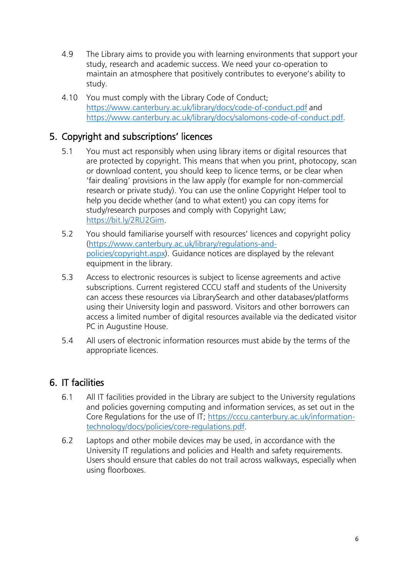- 4.9 The Library aims to provide you with learning environments that support your study, research and academic success. We need your co-operation to maintain an atmosphere that positively contributes to everyone's ability to study.
- 4.10 You must comply with the Library Code of Conduct; <https://www.canterbury.ac.uk/library/docs/code-of-conduct.pdf> and <https://www.canterbury.ac.uk/library/docs/salomons-code-of-conduct.pdf>.

# 5. Copyright and subscriptions' licences

- 5.1 You must act responsibly when using library items or digital resources that are protected by copyright. This means that when you print, photocopy, scan or download content, you should keep to licence terms, or be clear when 'fair dealing' provisions in the law apply (for example for non-commercial research or private study). You can use the online Copyright Helper tool to help you decide whether (and to what extent) you can copy items for study/research purposes and comply with Copyright Law; [https://bit.ly/2RU2Gim.](https://bit.ly/2RU2Gim)
- 5.2 You should familiarise yourself with resources' licences and copyright policy [\(https://www.canterbury.ac.uk/library/regulations-and](https://www.canterbury.ac.uk/library/regulations-and-policies/copyright.aspx)[policies/copyright.aspx\)](https://www.canterbury.ac.uk/library/regulations-and-policies/copyright.aspx). Guidance notices are displayed by the relevant equipment in the library.
- 5.3 Access to electronic resources is subject to license agreements and active subscriptions. Current registered CCCU staff and students of the University can access these resources via LibrarySearch and other databases/platforms using their University login and password. Visitors and other borrowers can access a limited number of digital resources available via the dedicated [visitor](https://www.canterbury.ac.uk/library/information-for/visitors/visitors.aspx#visitor)  [PC](https://www.canterbury.ac.uk/library/information-for/visitors/visitors.aspx#visitor) in Augustine House.
- 5.4 All users of electronic information resources must abide by the terms of the appropriate licences.

#### 6. IT facilities

- 6.1 All IT facilities provided in the Library are subject to the University regulations and policies governing computing and information services, as set out in the [Core Regulations for the use of IT; https://cccu.canterbury.ac.uk/information](https://cccu.canterbury.ac.uk/information-technology/docs/policies/core-regulations.pdf)[technology/docs/policies/core-regulations.pdf.](https://cccu.canterbury.ac.uk/information-technology/docs/policies/core-regulations.pdf)
- 6.2 Laptops and other mobile devices may be used, in accordance with the University IT regulations and policies and Health and safety requirements. Users should ensure that cables do not trail across walkways, especially when using floorboxes.